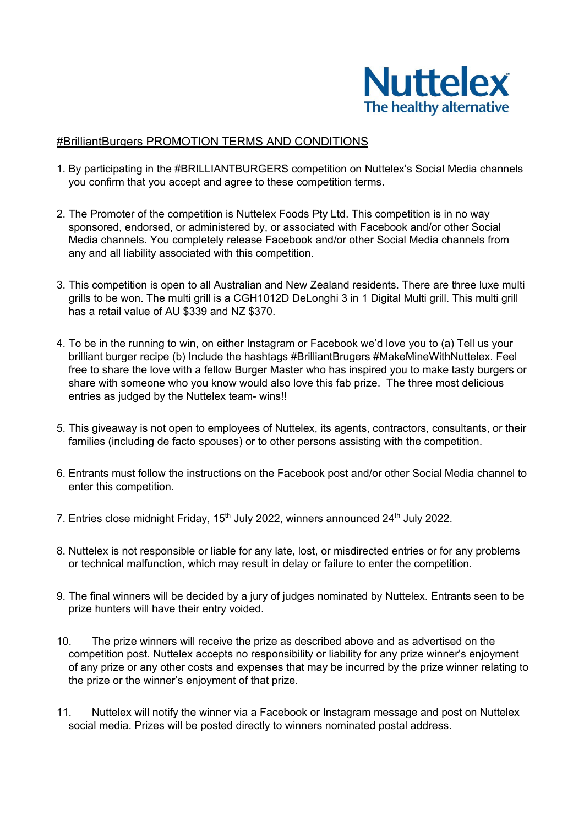

## #BrilliantBurgers PROMOTION TERMS AND CONDITIONS

- 1. By participating in the #BRILLIANTBURGERS competition on Nuttelex's Social Media channels you confirm that you accept and agree to these competition terms.
- 2. The Promoter of the competition is Nuttelex Foods Pty Ltd. This competition is in no way sponsored, endorsed, or administered by, or associated with Facebook and/or other Social Media channels. You completely release Facebook and/or other Social Media channels from any and all liability associated with this competition.
- 3. This competition is open to all Australian and New Zealand residents. There are three luxe multi grills to be won. The multi grill is a CGH1012D DeLonghi 3 in 1 Digital Multi grill. This multi grill has a retail value of AU \$339 and NZ \$370.
- 4. To be in the running to win, on either Instagram or Facebook we'd love you to (a) Tell us your brilliant burger recipe (b) Include the hashtags #BrilliantBrugers #MakeMineWithNuttelex. Feel free to share the love with a fellow Burger Master who has inspired you to make tasty burgers or share with someone who you know would also love this fab prize. The three most delicious entries as judged by the Nuttelex team- wins!!
- 5. This giveaway is not open to employees of Nuttelex, its agents, contractors, consultants, or their families (including de facto spouses) or to other persons assisting with the competition.
- 6. Entrants must follow the instructions on the Facebook post and/or other Social Media channel to enter this competition.
- 7. Entries close midnight Friday,  $15<sup>th</sup>$  July 2022, winners announced 24<sup>th</sup> July 2022.
- 8. Nuttelex is not responsible or liable for any late, lost, or misdirected entries or for any problems or technical malfunction, which may result in delay or failure to enter the competition.
- 9. The final winners will be decided by a jury of judges nominated by Nuttelex. Entrants seen to be prize hunters will have their entry voided.
- 10. The prize winners will receive the prize as described above and as advertised on the competition post. Nuttelex accepts no responsibility or liability for any prize winner's enjoyment of any prize or any other costs and expenses that may be incurred by the prize winner relating to the prize or the winner's enjoyment of that prize.
- 11. Nuttelex will notify the winner via a Facebook or Instagram message and post on Nuttelex social media. Prizes will be posted directly to winners nominated postal address.